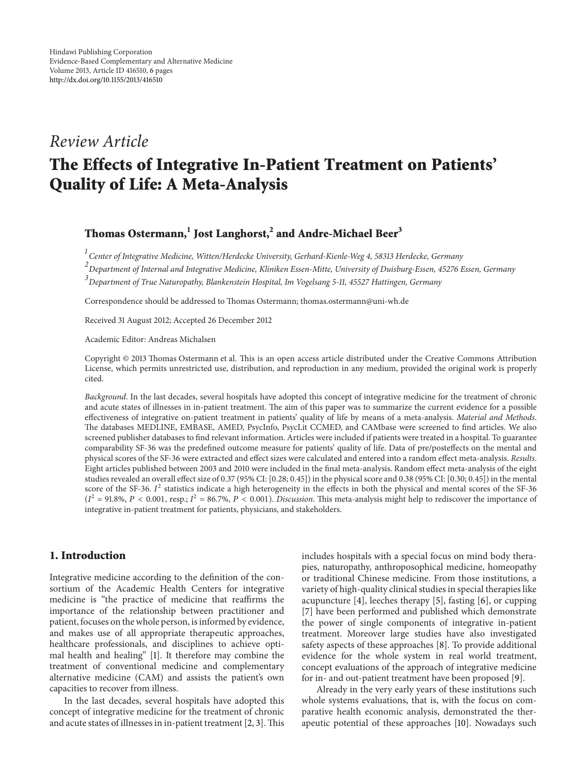## *Review Article*

# **The Effects of Integrative In-Patient Treatment on Patients' Quality of Life: A Meta-Analysis**

## **Thomas Ostermann,1 Jost Langhorst,<sup>2</sup> and Andre-Michael Beer<sup>3</sup>**

*1 Center of Integrative Medicine, Witten/Herdecke University, Gerhard-Kienle-Weg 4, 58313 Herdecke, Germany*

*2 Department of Internal and Integrative Medicine, Kliniken Essen-Mitte, University of Duisburg-Essen, 45276 Essen, Germany*

*3 Department of True Naturopathy, Blankenstein Hospital, Im Vogelsang 5-11, 45527 Hattingen, Germany*

Correspondence should be addressed to Thomas Ostermann; thomas.ostermann@uni-wh.de

Received 31 August 2012; Accepted 26 December 2012

Academic Editor: Andreas Michalsen

Copyright © 2013 Thomas Ostermann et al. This is an open access article distributed under the Creative Commons Attribution License, which permits unrestricted use, distribution, and reproduction in any medium, provided the original work is properly cited.

*Background*. In the last decades, several hospitals have adopted this concept of integrative medicine for the treatment of chronic and acute states of illnesses in in-patient treatment. The aim of this paper was to summarize the current evidence for a possible effectiveness of integrative on-patient treatment in patients' quality of life by means of a meta-analysis. *Material and Methods*. The databases MEDLINE, EMBASE, AMED, PsycInfo, PsycLit CCMED, and CAMbase were screened to find articles. We also screened publisher databases to find relevant information. Articles were included if patients were treated in a hospital. To guarantee comparability SF-36 was the predefined outcome measure for patients' quality of life. Data of pre/posteffects on the mental and physical scores of the SF-36 were extracted and effect sizes were calculated and entered into a random effect meta-analysis. *Results*. Eight articles published between 2003 and 2010 were included in the final meta-analysis. Random effect meta-analysis of the eight studies revealed an overall effect size of 0.37 (95% CI: [0.28; 0.45]) in the physical score and 0.38 (95% CI: [0.30; 0.45]) in the mental score of the SF-36.  $I^2$  statistics indicate a high heterogeneity in the effects in both the physical and mental scores of the SF-36  $(I^2 = 91.8\%, P < 0.001$ , resp.;  $I^2 = 86.7\%, P < 0.001$ ). *Discussion*. This meta-analysis might help to rediscover the importance of integrative in-patient treatment for patients, physicians, and stakeholders.

### **1. Introduction**

Integrative medicine according to the definition of the consortium of the Academic Health Centers for integrative medicine is "the practice of medicine that reaffirms the importance of the relationship between practitioner and patient, focuses on the whole person, is informed by evidence, and makes use of all appropriate therapeutic approaches, healthcare professionals, and disciplines to achieve optimal health and healing" [1]. It therefore may combine the treatment of conventional medicine and complementary alternative medicine (CAM) and assists the patient's own capacities to recover from illness.

In the last decades, several hospitals have adopted this concept of integrative medicine for the treatment of chronic and acute states of illnesses in in-patient treatment [2, 3]. This includes hospitals with a special focus on mind body therapies, naturopathy, anthroposophical medicine, homeopathy or traditional Chinese medicine. From those institutions, a variety of high-quality clinical studies in special therapies like acupuncture [4], leeches therapy [5], fasting [6], or cupping [7] have been performed and published which demonstrate the power of single components of integrative in-patient treatment. Moreover large studies have also investigated safety aspects of these approaches [8]. To provide additional evidence for the whole system in real world treatment, concept evaluations of the approach of integrative medicine for in- and out-patient treatment have been proposed [9].

Already in the very early years of these institutions such whole systems evaluations, that is, with the focus on comparative health economic analysis, demonstrated the therapeutic potential of these approaches [10]. Nowadays such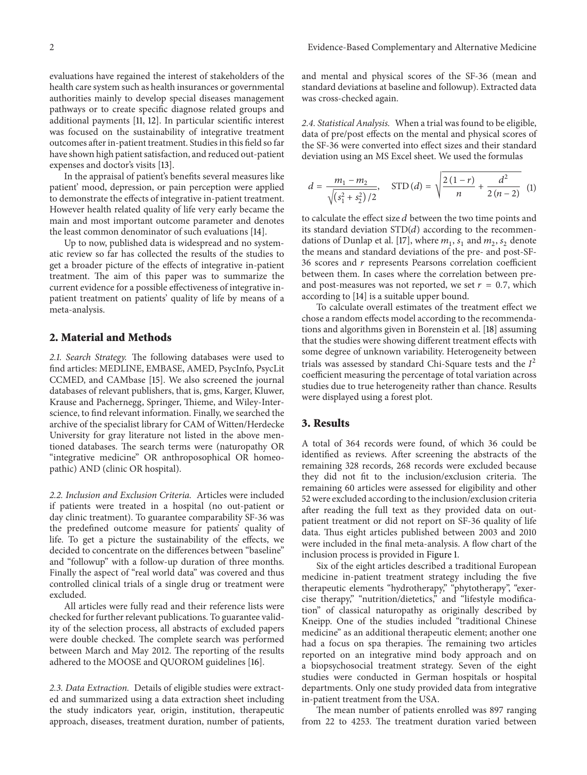evaluations have regained the interest of stakeholders of the health care system such as health insurances or governmental authorities mainly to develop special diseases management pathways or to create specific diagnose related groups and additional payments [11, 12]. In particular scientific interest was focused on the sustainability of integrative treatment outcomes after in-patient treatment. Studies in this field so far have shown high patient satisfaction, and reduced out-patient expenses and doctor's visits [13].

In the appraisal of patient's benefits several measures like patient' mood, depression, or pain perception were applied to demonstrate the effects of integrative in-patient treatment. However health related quality of life very early became the main and most important outcome parameter and denotes the least common denominator of such evaluations [14].

Up to now, published data is widespread and no systematic review so far has collected the results of the studies to get a broader picture of the effects of integrative in-patient treatment. The aim of this paper was to summarize the current evidence for a possible effectiveness of integrative inpatient treatment on patients' quality of life by means of a meta-analysis.

#### **2. Material and Methods**

*2.1. Search Strategy.* The following databases were used to find articles: MEDLINE, EMBASE, AMED, PsycInfo, PsycLit CCMED, and CAMbase [15]. We also screened the journal databases of relevant publishers, that is, gms, Karger, Kluwer, Krause and Pachernegg, Springer, Thieme, and Wiley-Interscience, to find relevant information. Finally, we searched the archive of the specialist library for CAM of Witten/Herdecke University for gray literature not listed in the above mentioned databases. The search terms were (naturopathy OR "integrative medicine" OR anthroposophical OR homeopathic) AND (clinic OR hospital).

*2.2. Inclusion and Exclusion Criteria.* Articles were included if patients were treated in a hospital (no out-patient or day clinic treatment). To guarantee comparability SF-36 was the predefined outcome measure for patients' quality of life. To get a picture the sustainability of the effects, we decided to concentrate on the differences between "baseline" and "followup" with a follow-up duration of three months. Finally the aspect of "real world data" was covered and thus controlled clinical trials of a single drug or treatment were excluded.

All articles were fully read and their reference lists were checked for further relevant publications. To guarantee validity of the selection process, all abstracts of excluded papers were double checked. The complete search was performed between March and May 2012. The reporting of the results adhered to the MOOSE and QUOROM guidelines [16].

*2.3. Data Extraction.* Details of eligible studies were extracted and summarized using a data extraction sheet including the study indicators year, origin, institution, therapeutic approach, diseases, treatment duration, number of patients, and mental and physical scores of the SF-36 (mean and standard deviations at baseline and followup). Extracted data was cross-checked again.

*2.4. Statistical Analysis.* When a trial was found to be eligible, data of pre/post effects on the mental and physical scores of the SF-36 were converted into effect sizes and their standard deviation using an MS Excel sheet. We used the formulas

$$
d = \frac{m_1 - m_2}{\sqrt{(s_1^2 + s_2^2)/2}}, \quad \text{STD}\,(d) = \sqrt{\frac{2(1-r)}{n} + \frac{d^2}{2(n-2)}} \tag{1}
$$

to calculate the effect size  $d$  between the two time points and its standard deviation  $STD(d)$  according to the recommendations of Dunlap et al. [17], where  $m_1$ ,  $s_1$  and  $m_2$ ,  $s_2$  denote the means and standard deviations of the pre- and post-SF-36 scores and  $r$  represents Pearsons correlation coefficient between them. In cases where the correlation between preand post-measures was not reported, we set  $r = 0.7$ , which according to [14] is a suitable upper bound.

To calculate overall estimates of the treatment effect we chose a random effects model according to the recommendations and algorithms given in Borenstein et al. [18] assuming that the studies were showing different treatment effects with some degree of unknown variability. Heterogeneity between trials was assessed by standard Chi-Square tests and the  $I^2$ coefficient measuring the percentage of total variation across studies due to true heterogeneity rather than chance. Results were displayed using a forest plot.

#### **3. Results**

A total of 364 records were found, of which 36 could be identified as reviews. After screening the abstracts of the remaining 328 records, 268 records were excluded because they did not fit to the inclusion/exclusion criteria. The remaining 60 articles were assessed for eligibility and other 52 were excluded according to the inclusion/exclusion criteria after reading the full text as they provided data on outpatient treatment or did not report on SF-36 quality of life data. Thus eight articles published between 2003 and 2010 were included in the final meta-analysis. A flow chart of the inclusion process is provided in Figure 1.

Six of the eight articles described a traditional European medicine in-patient treatment strategy including the five therapeutic elements "hydrotherapy," "phytotherapy", "exercise therapy," "nutrition/dietetics," and "lifestyle modification" of classical naturopathy as originally described by Kneipp. One of the studies included "traditional Chinese medicine" as an additional therapeutic element; another one had a focus on spa therapies. The remaining two articles reported on an integrative mind body approach and on a biopsychosocial treatment strategy. Seven of the eight studies were conducted in German hospitals or hospital departments. Only one study provided data from integrative in-patient treatment from the USA.

The mean number of patients enrolled was 897 ranging from 22 to 4253. The treatment duration varied between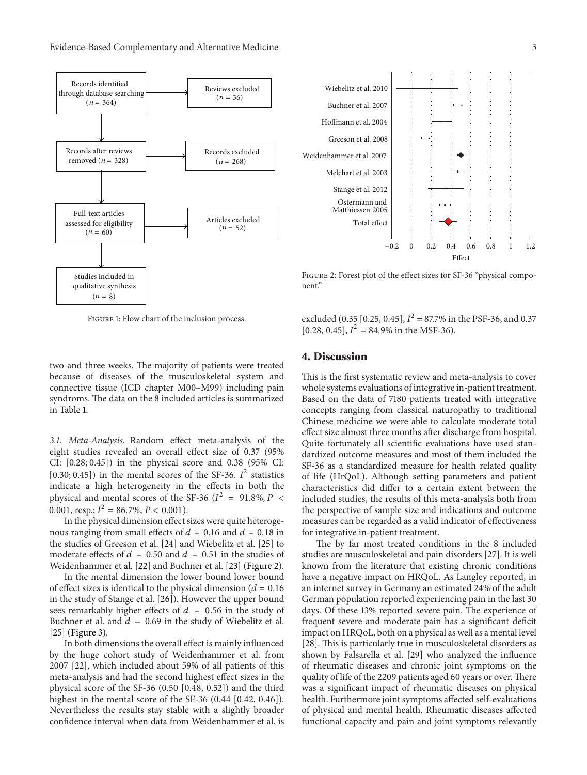

FIGURE 1: Flow chart of the inclusion process.

two and three weeks. The majority of patients were treated because of diseases of the musculoskeletal system and connective tissue (ICD chapter M00–M99) including pain syndroms. The data on the 8 included articles is summarized in Table 1.

*3.1. Meta-Analysis.* Random effect meta-analysis of the eight studies revealed an overall effect size of 0.37 (95% CI: [0.28; 0.45]) in the physical score and 0.38 (95% CI: [0.30; 0.45]) in the mental scores of the SF-36.  $I^2$  statistics indicate a high heterogeneity in the effects in both the physical and mental scores of the SF-36 ( $I^2$  = 91.8%, P < 0.001, resp.;  $I^2 = 86.7\%$ ,  $P < 0.001$ ).

In the physical dimension effect sizes were quite heterogenous ranging from small effects of  $d = 0.16$  and  $d = 0.18$  in the studies of Greeson et al. [24] and Wiebelitz et al. [25] to moderate effects of  $d = 0.50$  and  $d = 0.51$  in the studies of Weidenhammer et al. [22] and Buchner et al. [23] (Figure 2).

In the mental dimension the lower bound lower bound of effect sizes is identical to the physical dimension ( $d = 0.16$ ) in the study of Stange et al. [26]). However the upper bound sees remarkably higher effects of  $d = 0.56$  in the study of Buchner et al. and  $d = 0.69$  in the study of Wiebelitz et al. [25] (Figure 3).

In both dimensions the overall effect is mainly influenced by the huge cohort study of Weidenhammer et al. from 2007 [22], which included about 59% of all patients of this meta-analysis and had the second highest effect sizes in the physical score of the SF-36 (0.50 [0.48, 0.52]) and the third highest in the mental score of the SF-36 (0.44 [0.42, 0.46]). Nevertheless the results stay stable with a slightly broader confidence interval when data from Weidenhammer et al. is



Figure 2: Forest plot of the effect sizes for SF-36 "physical component."

excluded (0.35 [0.25, 0.45],  $I^2 = 87.7\%$  in the PSF-36, and 0.37 [0.28, 0.45],  $I^2 = 84.9\%$  in the MSF-36).

#### **4. Discussion**

This is the first systematic review and meta-analysis to cover whole systems evaluations of integrative in-patient treatment. Based on the data of 7180 patients treated with integrative concepts ranging from classical naturopathy to traditional Chinese medicine we were able to calculate moderate total effect size almost three months after discharge from hospital. Quite fortunately all scientific evaluations have used standardized outcome measures and most of them included the SF-36 as a standardized measure for health related quality of life (HrQoL). Although setting parameters and patient characteristics did differ to a certain extent between the included studies, the results of this meta-analysis both from the perspective of sample size and indications and outcome measures can be regarded as a valid indicator of effectiveness for integrative in-patient treatment.

The by far most treated conditions in the 8 included studies are musculoskeletal and pain disorders [27]. It is well known from the literature that existing chronic conditions have a negative impact on HRQoL. As Langley reported, in an internet survey in Germany an estimated 24% of the adult German population reported experiencing pain in the last 30 days. Of these 13% reported severe pain. The experience of frequent severe and moderate pain has a significant deficit impact on HRQoL, both on a physical as well as a mental level [28]. This is particularly true in musculoskeletal disorders as shown by Falsarella et al. [29] who analyzed the influence of rheumatic diseases and chronic joint symptoms on the quality of life of the 2209 patients aged 60 years or over. There was a significant impact of rheumatic diseases on physical health. Furthermore joint symptoms affected self-evaluations of physical and mental health. Rheumatic diseases affected functional capacity and pain and joint symptoms relevantly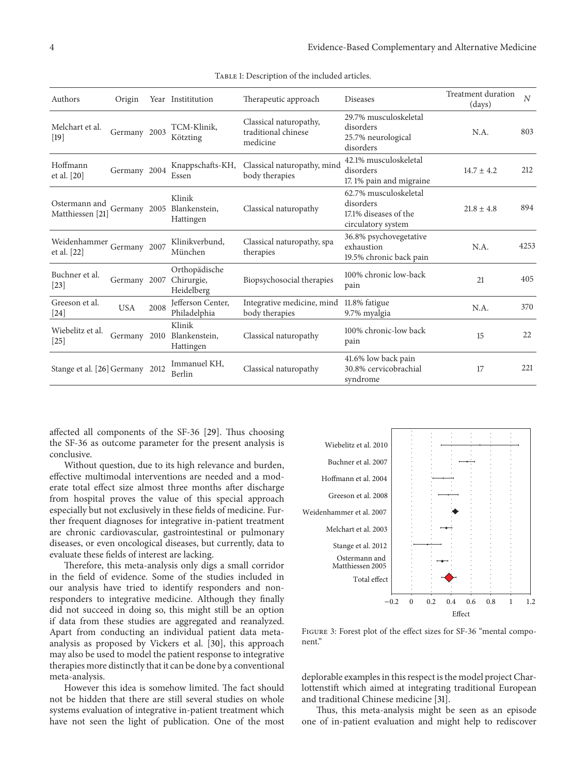| Authors                               | Origin       |      | Year Instititution                        | Therapeutic approach                                      | <b>Diseases</b>                                                                   | <b>Treatment duration</b><br>(days) | $\overline{N}$ |
|---------------------------------------|--------------|------|-------------------------------------------|-----------------------------------------------------------|-----------------------------------------------------------------------------------|-------------------------------------|----------------|
| Melchart et al.<br>[19]               | Germany 2003 |      | TCM-Klinik,<br>Kötzting                   | Classical naturopathy,<br>traditional chinese<br>medicine | 29.7% musculoskeletal<br>disorders<br>25.7% neurological<br>disorders             | N.A.                                | 803            |
| Hoffmann<br>et al. [20]               | Germany 2004 |      | Knappschafts-KH,<br>Essen                 | Classical naturopathy, mind<br>body therapies             | 42.1% musculoskeletal<br>disorders<br>17.1% pain and migraine                     | $14.7 \pm 4.2$                      | 212            |
| Ostermann and<br>Matthiessen [21]     | Germany 2005 |      | Klinik<br>Blankenstein,<br>Hattingen      | Classical naturopathy                                     | 62.7% musculoskeletal<br>disorders<br>17.1% diseases of the<br>circulatory system | $21.8 \pm 4.8$                      | 894            |
| Weidenhammer<br>et al. [22]           | Germany 2007 |      | Klinikverbund,<br>München                 | Classical naturopathy, spa<br>therapies                   | 36.8% psychovegetative<br>exhaustion<br>19.5% chronic back pain                   | N.A.                                | 4253           |
| Buchner et al.<br>$\left[23\right]$   | Germany 2007 |      | Orthopädische<br>Chirurgie,<br>Heidelberg | Biopsychosocial therapies                                 | 100% chronic low-back<br>pain                                                     | 21                                  | 405            |
| Greeson et al.<br>[24]                | <b>USA</b>   | 2008 | Jefferson Center,<br>Philadelphia         | Integrative medicine, mind<br>body therapies              | 11.8% fatigue<br>9.7% myalgia                                                     | N.A.                                | 370            |
| Wiebelitz et al.<br>$\left[25\right]$ | Germany      | 2010 | Klinik<br>Blankenstein,<br>Hattingen      | Classical naturopathy                                     | 100% chronic-low back<br>pain                                                     | 15                                  | 22             |
| Stange et al. [26] Germany 2012       |              |      | Immanuel KH,<br>Berlin                    | Classical naturopathy                                     | 41.6% low back pain<br>30.8% cervicobrachial<br>syndrome                          | 17                                  | 221            |

TABLE 1: Description of the included articles.

affected all components of the SF-36 [29]. Thus choosing the SF-36 as outcome parameter for the present analysis is conclusive.

Without question, due to its high relevance and burden, effective multimodal interventions are needed and a moderate total effect size almost three months after discharge from hospital proves the value of this special approach especially but not exclusively in these fields of medicine. Further frequent diagnoses for integrative in-patient treatment are chronic cardiovascular, gastrointestinal or pulmonary diseases, or even oncological diseases, but currently, data to evaluate these fields of interest are lacking.

Therefore, this meta-analysis only digs a small corridor in the field of evidence. Some of the studies included in our analysis have tried to identify responders and nonresponders to integrative medicine. Although they finally did not succeed in doing so, this might still be an option if data from these studies are aggregated and reanalyzed. Apart from conducting an individual patient data metaanalysis as proposed by Vickers et al. [30], this approach may also be used to model the patient response to integrative therapies more distinctly that it can be done by a conventional meta-analysis.

However this idea is somehow limited. The fact should not be hidden that there are still several studies on whole systems evaluation of integrative in-patient treatment which have not seen the light of publication. One of the most



Figure 3: Forest plot of the effect sizes for SF-36 "mental component."

deplorable examples in this respect is the model project Charlottenstift which aimed at integrating traditional European and traditional Chinese medicine [31].

Thus, this meta-analysis might be seen as an episode one of in-patient evaluation and might help to rediscover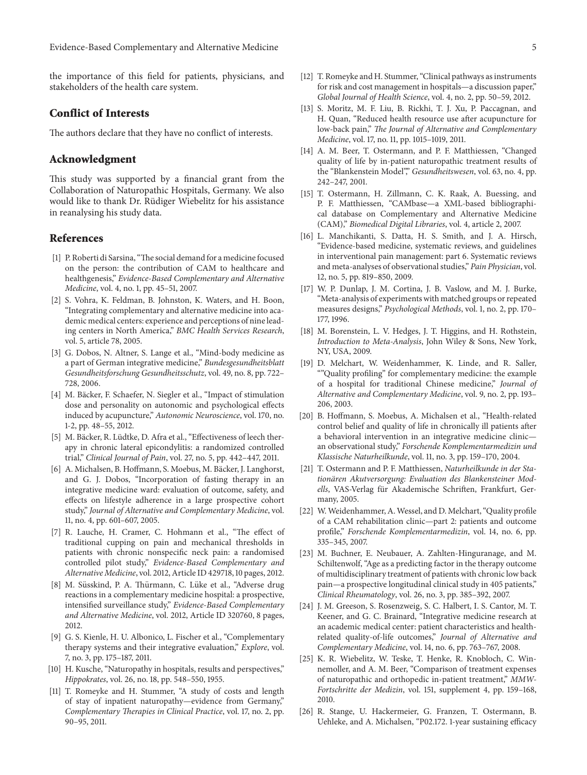the importance of this field for patients, physicians, and stakeholders of the health care system.

#### **Conflict of Interests**

The authors declare that they have no conflict of interests.

#### **Acknowledgment**

This study was supported by a financial grant from the Collaboration of Naturopathic Hospitals, Germany. We also would like to thank Dr. Rüdiger Wiebelitz for his assistance in reanalysing his study data.

#### **References**

- [1] P. Roberti di Sarsina, "The social demand for a medicine focused on the person: the contribution of CAM to healthcare and healthgenesis," *Evidence-Based Complementary and Alternative Medicine*, vol. 4, no. 1, pp. 45–51, 2007.
- [2] S. Vohra, K. Feldman, B. Johnston, K. Waters, and H. Boon, "Integrating complementary and alternative medicine into academic medical centers: experience and perceptions of nine leading centers in North America," *BMC Health Services Research*, vol. 5, article 78, 2005.
- [3] G. Dobos, N. Altner, S. Lange et al., "Mind-body medicine as a part of German integrative medicine," *Bundesgesundheitsblatt Gesundheitsforschung Gesundheitsschutz*, vol. 49, no. 8, pp. 722– 728, 2006.
- [4] M. Bäcker, F. Schaefer, N. Siegler et al., "Impact of stimulation dose and personality on autonomic and psychological effects induced by acupuncture," *Autonomic Neuroscience*, vol. 170, no. 1-2, pp. 48–55, 2012.
- [5] M. Bäcker, R. Lüdtke, D. Afra et al., "Effectiveness of leech therapy in chronic lateral epicondylitis: a randomized controlled trial," *Clinical Journal of Pain*, vol. 27, no. 5, pp. 442–447, 2011.
- [6] A. Michalsen, B. Hoffmann, S. Moebus, M. Bäcker, J. Langhorst, and G. J. Dobos, "Incorporation of fasting therapy in an integrative medicine ward: evaluation of outcome, safety, and effects on lifestyle adherence in a large prospective cohort study," *Journal of Alternative and Complementary Medicine*, vol. 11, no. 4, pp. 601–607, 2005.
- [7] R. Lauche, H. Cramer, C. Hohmann et al., "The effect of traditional cupping on pain and mechanical thresholds in patients with chronic nonspecific neck pain: a randomised controlled pilot study," *Evidence-Based Complementary and Alternative Medicine*, vol. 2012, Article ID 429718, 10 pages, 2012.
- [8] M. Süsskind, P. A. Thürmann, C. Lüke et al., "Adverse drug reactions in a complementary medicine hospital: a prospective, intensified surveillance study," *Evidence-Based Complementary and Alternative Medicine*, vol. 2012, Article ID 320760, 8 pages, 2012.
- [9] G. S. Kienle, H. U. Albonico, L. Fischer et al., "Complementary therapy systems and their integrative evaluation," *Explore*, vol. 7, no. 3, pp. 175–187, 2011.
- [10] H. Kusche, "Naturopathy in hospitals, results and perspectives," *Hippokrates*, vol. 26, no. 18, pp. 548–550, 1955.
- [11] T. Romeyke and H. Stummer, "A study of costs and length of stay of inpatient naturopathy—evidence from Germany," *Complementary Therapies in Clinical Practice*, vol. 17, no. 2, pp. 90–95, 2011.
- [12] T. Romeyke and H. Stummer, "Clinical pathways as instruments for risk and cost management in hospitals—a discussion paper," *Global Journal of Health Science*, vol. 4, no. 2, pp. 50–59, 2012.
- [13] S. Moritz, M. F. Liu, B. Rickhi, T. J. Xu, P. Paccagnan, and H. Quan, "Reduced health resource use after acupuncture for low-back pain," *The Journal of Alternative and Complementary Medicine*, vol. 17, no. 11, pp. 1015–1019, 2011.
- [14] A. M. Beer, T. Ostermann, and P. F. Matthiessen, "Changed quality of life by in-patient naturopathic treatment results of the "Blankenstein Model"," *Gesundheitswesen*, vol. 63, no. 4, pp. 242–247, 2001.
- [15] T. Ostermann, H. Zillmann, C. K. Raak, A. Buessing, and P. F. Matthiessen, "CAMbase—a XML-based bibliographical database on Complementary and Alternative Medicine (CAM)," *Biomedical Digital Libraries*, vol. 4, article 2, 2007.
- [16] L. Manchikanti, S. Datta, H. S. Smith, and J. A. Hirsch, "Evidence-based medicine, systematic reviews, and guidelines in interventional pain management: part 6. Systematic reviews and meta-analyses of observational studies," *Pain Physician*, vol. 12, no. 5, pp. 819–850, 2009.
- [17] W. P. Dunlap, J. M. Cortina, J. B. Vaslow, and M. J. Burke, "Meta-analysis of experiments with matched groups or repeated measures designs," *Psychological Methods*, vol. 1, no. 2, pp. 170– 177, 1996.
- [18] M. Borenstein, L. V. Hedges, J. T. Higgins, and H. Rothstein, *Introduction to Meta-Analysis*, John Wiley & Sons, New York, NY, USA, 2009.
- [19] D. Melchart, W. Weidenhammer, K. Linde, and R. Saller, ""Quality profiling" for complementary medicine: the example of a hospital for traditional Chinese medicine," *Journal of Alternative and Complementary Medicine*, vol. 9, no. 2, pp. 193– 206, 2003.
- [20] B. Hoffmann, S. Moebus, A. Michalsen et al., "Health-related control belief and quality of life in chronically ill patients after a behavioral intervention in an integrative medicine clinic an observational study," *Forschende Komplementarmedizin und Klassische Naturheilkunde*, vol. 11, no. 3, pp. 159–170, 2004.
- [21] T. Ostermann and P. F. Matthiessen, *Naturheilkunde in der Stationaren Akutversorgung: Evaluation des Blankensteiner Mod- ¨ ells*, VAS-Verlag fur Akademische Schriften, Frankfurt, Ger- ¨ many, 2005.
- [22] W.Weidenhammer, A.Wessel, and D. Melchart, "Quality profile of a CAM rehabilitation clinic—part 2: patients and outcome profile," *Forschende Komplementarmedizin*, vol. 14, no. 6, pp. 335–345, 2007.
- [23] M. Buchner, E. Neubauer, A. Zahlten-Hinguranage, and M. Schiltenwolf, "Age as a predicting factor in the therapy outcome of multidisciplinary treatment of patients with chronic low back pain—a prospective longitudinal clinical study in 405 patients," *Clinical Rheumatology*, vol. 26, no. 3, pp. 385–392, 2007.
- [24] J. M. Greeson, S. Rosenzweig, S. C. Halbert, I. S. Cantor, M. T. Keener, and G. C. Brainard, "Integrative medicine research at an academic medical center: patient characteristics and healthrelated quality-of-life outcomes," *Journal of Alternative and Complementary Medicine*, vol. 14, no. 6, pp. 763–767, 2008.
- [25] K. R. Wiebelitz, W. Teske, T. Henke, R. Knobloch, C. Winnemoller, and A. M. Beer, "Comparison of treatment expenses of naturopathic and orthopedic in-patient treatment," *MMW-Fortschritte der Medizin*, vol. 151, supplement 4, pp. 159–168, 2010.
- [26] R. Stange, U. Hackermeier, G. Franzen, T. Ostermann, B. Uehleke, and A. Michalsen, "P02.172. 1-year sustaining efficacy